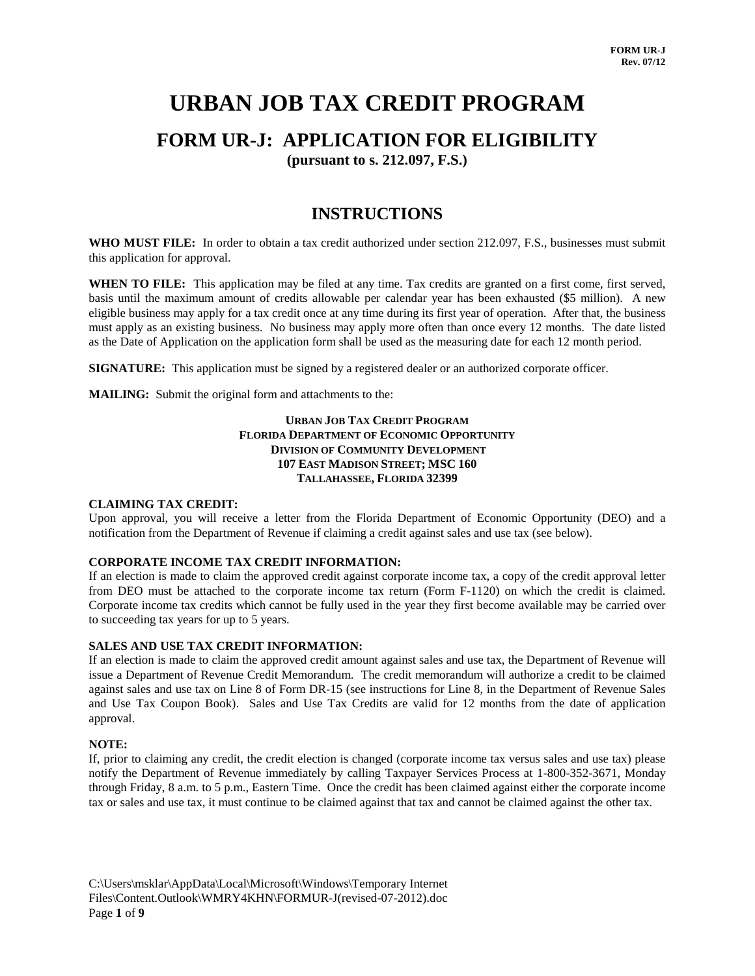# **URBAN JOB TAX CREDIT PROGRAM**

## **FORM UR-J: APPLICATION FOR ELIGIBILITY**

**(pursuant to s. 212.097, F.S.)**

## **INSTRUCTIONS**

**WHO MUST FILE:** In order to obtain a tax credit authorized under section 212.097, F.S., businesses must submit this application for approval.

**WHEN TO FILE:** This application may be filed at any time. Tax credits are granted on a first come, first served, basis until the maximum amount of credits allowable per calendar year has been exhausted (\$5 million). A new eligible business may apply for a tax credit once at any time during its first year of operation. After that, the business must apply as an existing business. No business may apply more often than once every 12 months. The date listed as the Date of Application on the application form shall be used as the measuring date for each 12 month period.

**SIGNATURE:** This application must be signed by a registered dealer or an authorized corporate officer.

**MAILING:** Submit the original form and attachments to the:

#### **URBAN JOB TAX CREDIT PROGRAM FLORIDA DEPARTMENT OF ECONOMIC OPPORTUNITY DIVISION OF COMMUNITY DEVELOPMENT 107 EAST MADISON STREET; MSC 160 TALLAHASSEE, FLORIDA 32399**

#### **CLAIMING TAX CREDIT:**

Upon approval, you will receive a letter from the Florida Department of Economic Opportunity (DEO) and a notification from the Department of Revenue if claiming a credit against sales and use tax (see below).

#### **CORPORATE INCOME TAX CREDIT INFORMATION:**

If an election is made to claim the approved credit against corporate income tax, a copy of the credit approval letter from DEO must be attached to the corporate income tax return (Form F-1120) on which the credit is claimed. Corporate income tax credits which cannot be fully used in the year they first become available may be carried over to succeeding tax years for up to 5 years.

#### **SALES AND USE TAX CREDIT INFORMATION:**

If an election is made to claim the approved credit amount against sales and use tax, the Department of Revenue will issue a Department of Revenue Credit Memorandum. The credit memorandum will authorize a credit to be claimed against sales and use tax on Line 8 of Form DR-15 (see instructions for Line 8, in the Department of Revenue Sales and Use Tax Coupon Book). Sales and Use Tax Credits are valid for 12 months from the date of application approval.

#### **NOTE:**

If, prior to claiming any credit, the credit election is changed (corporate income tax versus sales and use tax) please notify the Department of Revenue immediately by calling Taxpayer Services Process at 1-800-352-3671, Monday through Friday, 8 a.m. to 5 p.m., Eastern Time. Once the credit has been claimed against either the corporate income tax or sales and use tax, it must continue to be claimed against that tax and cannot be claimed against the other tax.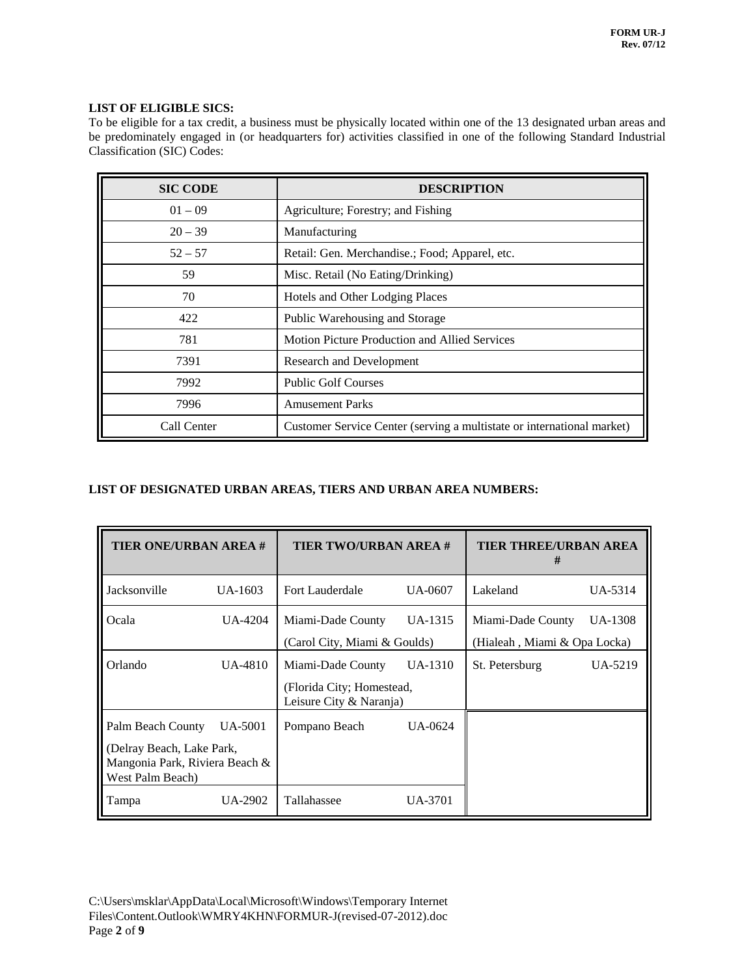$\overline{a}$ 

### **LIST OF ELIGIBLE SICS:**

To be eligible for a tax credit, a business must be physically located within one of the 13 designated urban areas and be predominately engaged in (or headquarters for) activities classified in one of the following Standard Industrial Classification (SIC) Codes:

| <b>SIC CODE</b> | <b>DESCRIPTION</b>                                                     |
|-----------------|------------------------------------------------------------------------|
| $01 - 09$       | Agriculture; Forestry; and Fishing                                     |
| $20 - 39$       | Manufacturing                                                          |
| $52 - 57$       | Retail: Gen. Merchandise.; Food; Apparel, etc.                         |
| 59              | Misc. Retail (No Eating/Drinking)                                      |
| 70              | Hotels and Other Lodging Places                                        |
| 422             | Public Warehousing and Storage                                         |
| 781             | Motion Picture Production and Allied Services                          |
| 7391            | <b>Research and Development</b>                                        |
| 7992            | <b>Public Golf Courses</b>                                             |
| 7996            | <b>Amusement Parks</b>                                                 |
| Call Center     | Customer Service Center (serving a multistate or international market) |

### **LIST OF DESIGNATED URBAN AREAS, TIERS AND URBAN AREA NUMBERS:**

| <b>TIER ONE/URBAN AREA #</b>                                                                         |           | <b>TIER TWO/URBAN AREA #</b>                                              |           | <b>TIER THREE/URBAN AREA</b><br>#                 |         |
|------------------------------------------------------------------------------------------------------|-----------|---------------------------------------------------------------------------|-----------|---------------------------------------------------|---------|
| Jacksonville                                                                                         | UA-1603   | Fort Lauderdale                                                           | UA-0607   | Lakeland                                          | UA-5314 |
| Ocala                                                                                                | UA-4204   | Miami-Dade County<br>(Carol City, Miami & Goulds)                         | $UA-1315$ | Miami-Dade County<br>(Hialeah, Miami & Opa Locka) | UA-1308 |
| Orlando                                                                                              | $UA-4810$ | Miami-Dade County<br>(Florida City; Homestead,<br>Leisure City & Naranja) | UA-1310   | St. Petersburg                                    | UA-5219 |
| Palm Beach County<br>(Delray Beach, Lake Park,<br>Mangonia Park, Riviera Beach &<br>West Palm Beach) | UA-5001   | Pompano Beach                                                             | UA-0624   |                                                   |         |
| Tampa                                                                                                | UA-2902   | Tallahassee                                                               | UA-3701   |                                                   |         |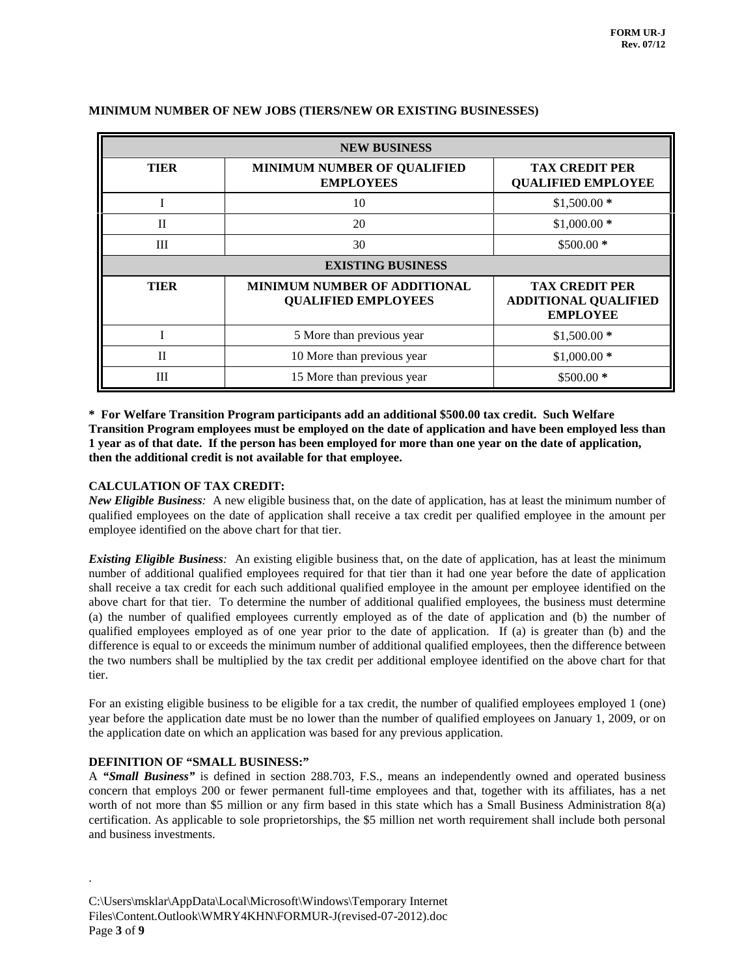| <b>NEW BUSINESS</b> |                                                                   |                                                                         |  |
|---------------------|-------------------------------------------------------------------|-------------------------------------------------------------------------|--|
| <b>TIER</b>         | <b>MINIMUM NUMBER OF QUALIFIED</b><br><b>EMPLOYEES</b>            | <b>TAX CREDIT PER</b><br><b>QUALIFIED EMPLOYEE</b>                      |  |
|                     | 10                                                                | $$1,500.00*$                                                            |  |
| $\Pi$               | 20                                                                | $$1,000.00*$                                                            |  |
| Ш                   | 30                                                                | $$500.00*$                                                              |  |
|                     | <b>EXISTING BUSINESS</b>                                          |                                                                         |  |
| <b>TIER</b>         | <b>MINIMUM NUMBER OF ADDITIONAL</b><br><b>QUALIFIED EMPLOYEES</b> | <b>TAX CREDIT PER</b><br><b>ADDITIONAL QUALIFIED</b><br><b>EMPLOYEE</b> |  |
|                     | 5 More than previous year                                         | $$1,500.00*$                                                            |  |
| $\Pi$               | 10 More than previous year                                        | $$1,000.00*$                                                            |  |
| Ш                   | 15 More than previous year                                        | $$500.00*$                                                              |  |

### **MINIMUM NUMBER OF NEW JOBS (TIERS/NEW OR EXISTING BUSINESSES)**

**\* For Welfare Transition Program participants add an additional \$500.00 tax credit. Such Welfare Transition Program employees must be employed on the date of application and have been employed less than 1 year as of that date. If the person has been employed for more than one year on the date of application, then the additional credit is not available for that employee.**

#### **CALCULATION OF TAX CREDIT:**

*New Eligible Business:* A new eligible business that, on the date of application, has at least the minimum number of qualified employees on the date of application shall receive a tax credit per qualified employee in the amount per employee identified on the above chart for that tier.

*Existing Eligible Business:* An existing eligible business that, on the date of application, has at least the minimum number of additional qualified employees required for that tier than it had one year before the date of application shall receive a tax credit for each such additional qualified employee in the amount per employee identified on the above chart for that tier. To determine the number of additional qualified employees, the business must determine (a) the number of qualified employees currently employed as of the date of application and (b) the number of qualified employees employed as of one year prior to the date of application. If (a) is greater than (b) and the difference is equal to or exceeds the minimum number of additional qualified employees, then the difference between the two numbers shall be multiplied by the tax credit per additional employee identified on the above chart for that tier.

For an existing eligible business to be eligible for a tax credit, the number of qualified employees employed 1 (one) year before the application date must be no lower than the number of qualified employees on January 1, 2009, or on the application date on which an application was based for any previous application.

#### **DEFINITION OF "SMALL BUSINESS:"**

.

A *"Small Business"* is defined in section 288.703, F.S., means an independently owned and operated business concern that employs 200 or fewer permanent full-time employees and that, together with its affiliates, has a net worth of not more than \$5 million or any firm based in this state which has a Small Business Administration 8(a) certification. As applicable to sole proprietorships, the \$5 million net worth requirement shall include both personal and business investments.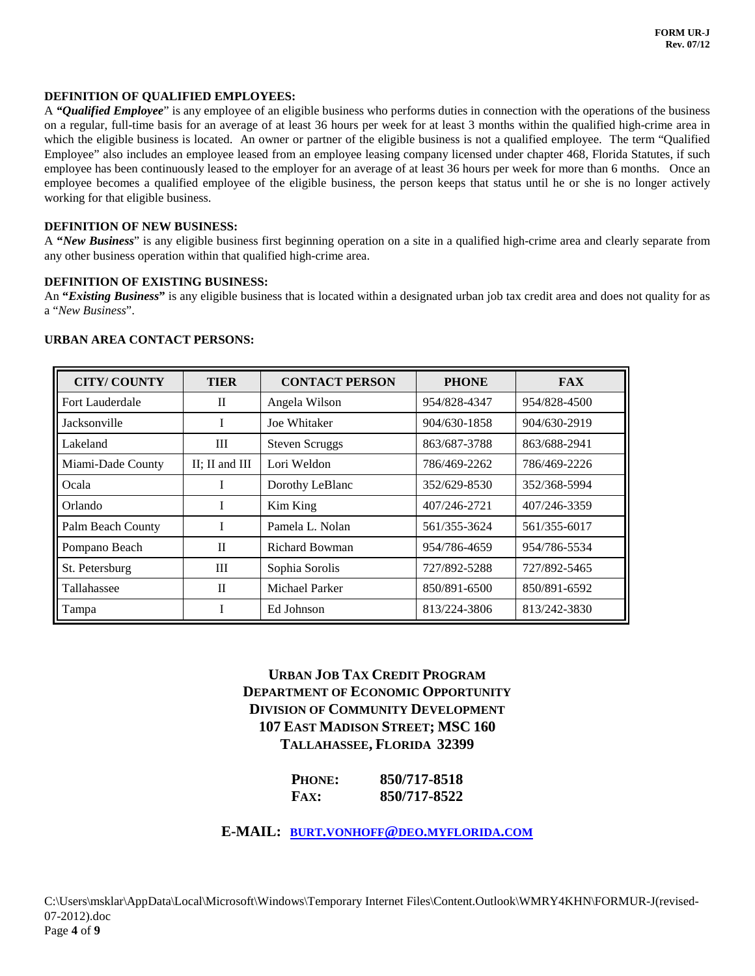#### **DEFINITION OF QUALIFIED EMPLOYEES:**

A *"Qualified Employee*" is any employee of an eligible business who performs duties in connection with the operations of the business on a regular, full-time basis for an average of at least 36 hours per week for at least 3 months within the qualified high-crime area in which the eligible business is located. An owner or partner of the eligible business is not a qualified employee. The term "Qualified Employee" also includes an employee leased from an employee leasing company licensed under chapter 468, Florida Statutes, if such employee has been continuously leased to the employer for an average of at least 36 hours per week for more than 6 months. Once an employee becomes a qualified employee of the eligible business, the person keeps that status until he or she is no longer actively working for that eligible business.

#### **DEFINITION OF NEW BUSINESS:**

A **"***New Business*" is any eligible business first beginning operation on a site in a qualified high-crime area and clearly separate from any other business operation within that qualified high-crime area.

#### **DEFINITION OF EXISTING BUSINESS:**

An **"***Existing Business***"** is any eligible business that is located within a designated urban job tax credit area and does not quality for as a "*New Business*".

#### **URBAN AREA CONTACT PERSONS:**

| <b>CITY/COUNTY</b>  | <b>TIER</b>    | <b>CONTACT PERSON</b> | <b>PHONE</b> | <b>FAX</b>   |
|---------------------|----------------|-----------------------|--------------|--------------|
| Fort Lauderdale     | $\mathbf{I}$   | Angela Wilson         | 954/828-4347 | 954/828-4500 |
| <b>Jacksonville</b> | I              | Joe Whitaker          | 904/630-1858 | 904/630-2919 |
| Lakeland            | Ш              | <b>Steven Scruggs</b> | 863/687-3788 | 863/688-2941 |
| Miami-Dade County   | II; II and III | Lori Weldon           | 786/469-2262 | 786/469-2226 |
| Ocala               | T              | Dorothy LeBlanc       | 352/629-8530 | 352/368-5994 |
| Orlando             | T              | Kim King              | 407/246-2721 | 407/246-3359 |
| Palm Beach County   | I              | Pamela L. Nolan       | 561/355-3624 | 561/355-6017 |
| Pompano Beach       | $\mathbf{I}$   | <b>Richard Bowman</b> | 954/786-4659 | 954/786-5534 |
| St. Petersburg      | Ш              | Sophia Sorolis        | 727/892-5288 | 727/892-5465 |
| Tallahassee         | $\mathbf{I}$   | Michael Parker        | 850/891-6500 | 850/891-6592 |
| Tampa               |                | Ed Johnson            | 813/224-3806 | 813/242-3830 |

## **URBAN JOB TAX CREDIT PROGRAM DEPARTMENT OF ECONOMIC OPPORTUNITY DIVISION OF COMMUNITY DEVELOPMENT 107 EAST MADISON STREET; MSC 160 TALLAHASSEE, FLORIDA 32399**

| PHONE:      | 850/717-8518 |
|-------------|--------------|
| <b>FAX:</b> | 850/717-8522 |

### **E-MAIL: [BURT.VONHOFF@DEO.MYFLORIDA.COM](mailto:burt.vonhoff@deo.myflorida.com)**

C:\Users\msklar\AppData\Local\Microsoft\Windows\Temporary Internet Files\Content.Outlook\WMRY4KHN\FORMUR-J(revised-07-2012).doc Page **4** of **9**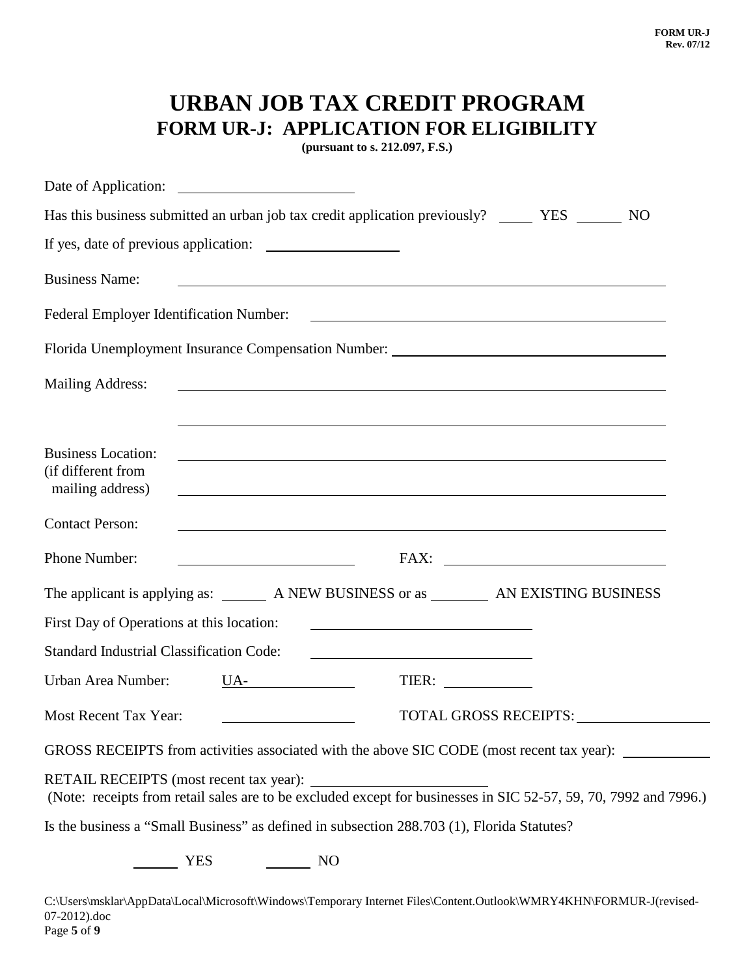# **URBAN JOB TAX CREDIT PROGRAM FORM UR-J: APPLICATION FOR ELIGIBILITY**

**(pursuant to s. 212.097, F.S.)**

| Has this business submitted an urban job tax credit application previously? ________ YES _______ NO                                                                                                                                                                                                                                                                                                                                            |
|------------------------------------------------------------------------------------------------------------------------------------------------------------------------------------------------------------------------------------------------------------------------------------------------------------------------------------------------------------------------------------------------------------------------------------------------|
|                                                                                                                                                                                                                                                                                                                                                                                                                                                |
| <b>Business Name:</b><br><u> 1989 - Johann Stoff, amerikansk politiker (d. 1989)</u>                                                                                                                                                                                                                                                                                                                                                           |
| Federal Employer Identification Number:                                                                                                                                                                                                                                                                                                                                                                                                        |
| Florida Unemployment Insurance Compensation Number: _____________________________                                                                                                                                                                                                                                                                                                                                                              |
| <b>Mailing Address:</b><br><u> 1980 - Johann Stoff, deutscher Stoffen und der Stoffen und der Stoffen und der Stoffen und der Stoffen und d</u>                                                                                                                                                                                                                                                                                                |
|                                                                                                                                                                                                                                                                                                                                                                                                                                                |
| <b>Business Location:</b><br><u> 1989 - Johann Stoff, amerikansk politiker (d. 1989)</u><br>(if different from<br>mailing address)                                                                                                                                                                                                                                                                                                             |
| <b>Contact Person:</b><br><u> 1989 - Johann Stoff, deutscher Stoffen und der Stoffen und der Stoffen und der Stoffen und der Stoffen und der</u>                                                                                                                                                                                                                                                                                               |
| Phone Number:                                                                                                                                                                                                                                                                                                                                                                                                                                  |
| The applicant is applying as: ________ A NEW BUSINESS or as _________ AN EXISTING BUSINESS                                                                                                                                                                                                                                                                                                                                                     |
| First Day of Operations at this location:                                                                                                                                                                                                                                                                                                                                                                                                      |
| <b>Standard Industrial Classification Code:</b>                                                                                                                                                                                                                                                                                                                                                                                                |
| Urban Area Number:<br>$UA$ <sub>2</sub> $\qquad \qquad$ $\qquad \qquad$ $\qquad \qquad$ $\qquad \qquad$ $\qquad \qquad$ $\qquad \qquad$ $\qquad \qquad$ $\qquad \qquad$ $\qquad \qquad$ $\qquad \qquad$ $\qquad \qquad$ $\qquad \qquad$ $\qquad \qquad$ $\qquad \qquad$ $\qquad \qquad$ $\qquad \qquad$ $\qquad \qquad$ $\qquad \qquad$ $\qquad \qquad$ $\qquad \qquad$ $\qquad \qquad$ $\qquad \qquad \qquad$ $\qquad \qquad \qquad$<br>TIER: |
| Most Recent Tax Year:<br>TOTAL GROSS RECEIPTS: _________<br>and the control of the control of the control of                                                                                                                                                                                                                                                                                                                                   |
| GROSS RECEIPTS from activities associated with the above SIC CODE (most recent tax year):                                                                                                                                                                                                                                                                                                                                                      |
| RETAIL RECEIPTS (most recent tax year):<br>(Note: receipts from retail sales are to be excluded except for businesses in SIC 52-57, 59, 70, 7992 and 7996.)                                                                                                                                                                                                                                                                                    |
| Is the business a "Small Business" as defined in subsection 288.703 (1), Florida Statutes?                                                                                                                                                                                                                                                                                                                                                     |
| <b>YES</b><br>$\sim$ NO                                                                                                                                                                                                                                                                                                                                                                                                                        |

C:\Users\msklar\AppData\Local\Microsoft\Windows\Temporary Internet Files\Content.Outlook\WMRY4KHN\FORMUR-J(revised-07-2012).doc Page **5** of **9**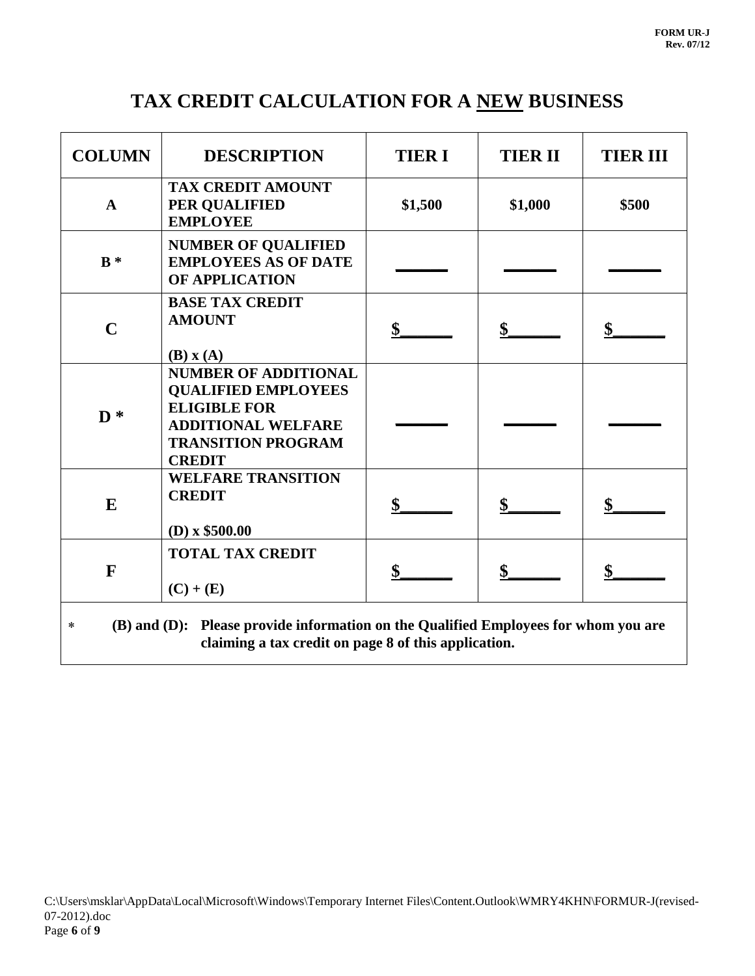# **TAX CREDIT CALCULATION FOR A NEW BUSINESS**

| <b>COLUMN</b>                                                                                                                                         | <b>DESCRIPTION</b>                                                                                                                                          | <b>TIER I</b> | <b>TIER II</b> | <b>TIER III</b> |
|-------------------------------------------------------------------------------------------------------------------------------------------------------|-------------------------------------------------------------------------------------------------------------------------------------------------------------|---------------|----------------|-----------------|
| $\mathbf{A}$                                                                                                                                          | <b>TAX CREDIT AMOUNT</b><br>PER QUALIFIED<br><b>EMPLOYEE</b>                                                                                                | \$1,500       | \$1,000        | \$500           |
| $B^*$                                                                                                                                                 | <b>NUMBER OF QUALIFIED</b><br><b>EMPLOYEES AS OF DATE</b><br><b>OF APPLICATION</b>                                                                          |               |                |                 |
| $\mathbf C$                                                                                                                                           | <b>BASE TAX CREDIT</b><br><b>AMOUNT</b><br>$(B)$ x $(A)$                                                                                                    | \$            | \$             | \$              |
| $\mathbf{D}^*$                                                                                                                                        | <b>NUMBER OF ADDITIONAL</b><br><b>QUALIFIED EMPLOYEES</b><br><b>ELIGIBLE FOR</b><br><b>ADDITIONAL WELFARE</b><br><b>TRANSITION PROGRAM</b><br><b>CREDIT</b> |               |                |                 |
| E                                                                                                                                                     | <b>WELFARE TRANSITION</b><br><b>CREDIT</b><br>$(D)$ x \$500.00                                                                                              |               |                |                 |
| F                                                                                                                                                     | <b>TOTAL TAX CREDIT</b><br>$(C) + (E)$                                                                                                                      | \$            |                | \$              |
| (B) and (D): Please provide information on the Qualified Employees for whom you are<br>$\ast$<br>claiming a tax credit on page 8 of this application. |                                                                                                                                                             |               |                |                 |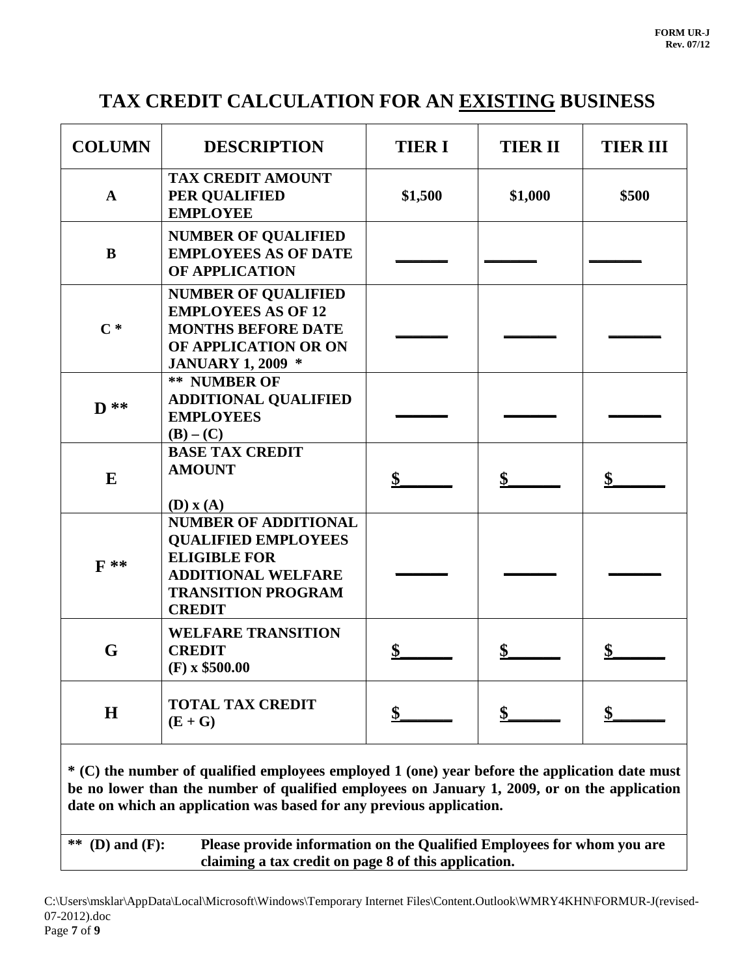# **TAX CREDIT CALCULATION FOR AN EXISTING BUSINESS**

| <b>COLUMN</b>   | <b>DESCRIPTION</b>                                                                                                                                          | <b>TIER I</b> | <b>TIER II</b> | <b>TIER III</b> |
|-----------------|-------------------------------------------------------------------------------------------------------------------------------------------------------------|---------------|----------------|-----------------|
| $\mathbf{A}$    | <b>TAX CREDIT AMOUNT</b><br>PER QUALIFIED<br><b>EMPLOYEE</b>                                                                                                | \$1,500       | \$1,000        | \$500           |
| $\bf{B}$        | <b>NUMBER OF QUALIFIED</b><br><b>EMPLOYEES AS OF DATE</b><br><b>OF APPLICATION</b>                                                                          |               |                |                 |
| $\mathbf{C}^*$  | <b>NUMBER OF QUALIFIED</b><br><b>EMPLOYEES AS OF 12</b><br><b>MONTHS BEFORE DATE</b><br>OF APPLICATION OR ON<br><b>JANUARY 1, 2009 *</b>                    |               |                |                 |
| $\mathbf{D}$ ** | <b>** NUMBER OF</b><br><b>ADDITIONAL QUALIFIED</b><br><b>EMPLOYEES</b><br>$(B) - (C)$                                                                       |               |                |                 |
| E               | <b>BASE TAX CREDIT</b><br><b>AMOUNT</b><br>$(D)$ x $(A)$                                                                                                    | \$            | \$             | \$              |
| $\mathbf{F}$ ** | <b>NUMBER OF ADDITIONAL</b><br><b>QUALIFIED EMPLOYEES</b><br><b>ELIGIBLE FOR</b><br><b>ADDITIONAL WELFARE</b><br><b>TRANSITION PROGRAM</b><br><b>CREDIT</b> |               |                |                 |
| G               | <b>WELFARE TRANSITION</b><br><b>CREDIT</b><br>$(F)$ x \$500.00                                                                                              | \$            | \$             | \$              |
| H               | <b>TOTAL TAX CREDIT</b><br>$(E+G)$                                                                                                                          |               |                | \$              |

**\* (C) the number of qualified employees employed 1 (one) year before the application date must be no lower than the number of qualified employees on January 1, 2009, or on the application date on which an application was based for any previous application.**

**\*\* (D) and (F): Please provide information on the Qualified Employees for whom you are claiming a tax credit on page 8 of this application.**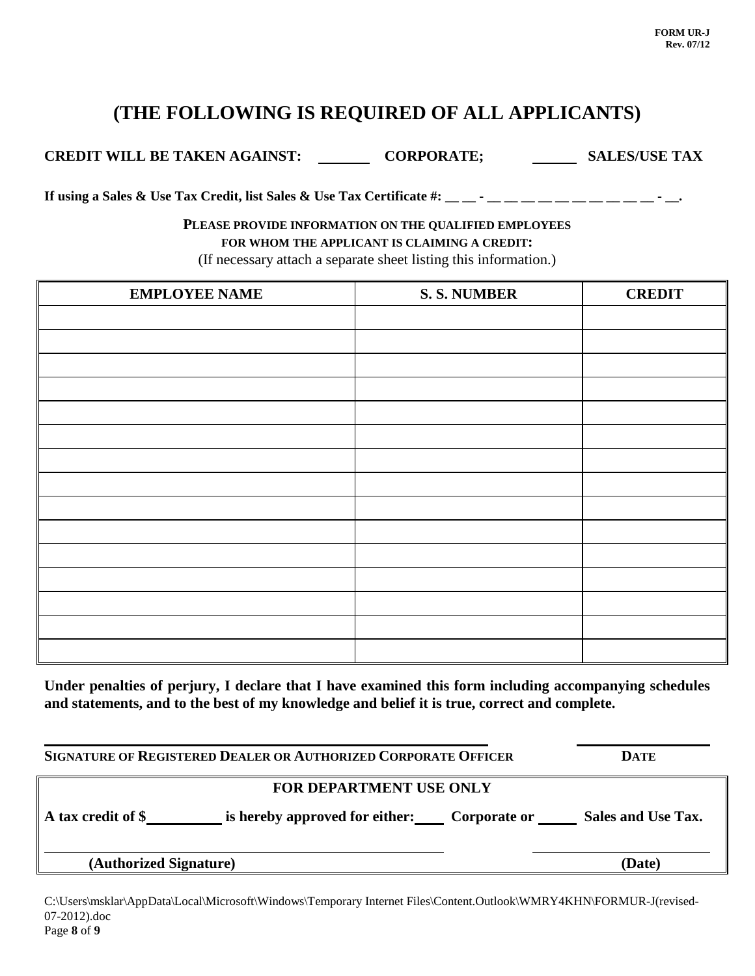# **(THE FOLLOWING IS REQUIRED OF ALL APPLICANTS)**

**CREDIT WILL BE TAKEN AGAINST: CORPORATE; SALES/USE TAX**

**If using a Sales & Use Tax Credit, list Sales & Use Tax Certificate #: \_\_\_ -** \_\_ \_\_ \_\_ \_\_ \_\_ \_\_ \_\_ \_\_ - \_\_ -

### **PLEASE PROVIDE INFORMATION ON THE QUALIFIED EMPLOYEES FOR WHOM THE APPLICANT IS CLAIMING A CREDIT:**

(If necessary attach a separate sheet listing this information.)

| <b>EMPLOYEE NAME</b> | <b>S. S. NUMBER</b> | <b>CREDIT</b> |
|----------------------|---------------------|---------------|
|                      |                     |               |
|                      |                     |               |
|                      |                     |               |
|                      |                     |               |
|                      |                     |               |
|                      |                     |               |
|                      |                     |               |
|                      |                     |               |
|                      |                     |               |
|                      |                     |               |
|                      |                     |               |
|                      |                     |               |
|                      |                     |               |
|                      |                     |               |
|                      |                     |               |

**Under penalties of perjury, I declare that I have examined this form including accompanying schedules and statements, and to the best of my knowledge and belief it is true, correct and complete.**

| SIGNATURE OF REGISTERED DEALER OR AUTHORIZED CORPORATE OFFICER |                                                                |  | <b>DATE</b> |  |
|----------------------------------------------------------------|----------------------------------------------------------------|--|-------------|--|
|                                                                | FOR DEPARTMENT USE ONLY                                        |  |             |  |
| A tax credit of \$                                             | is hereby approved for either: Corporate or Sales and Use Tax. |  |             |  |
| (Authorized Signature)                                         |                                                                |  | (Date)      |  |

C:\Users\msklar\AppData\Local\Microsoft\Windows\Temporary Internet Files\Content.Outlook\WMRY4KHN\FORMUR-J(revised-07-2012).doc Page **8** of **9**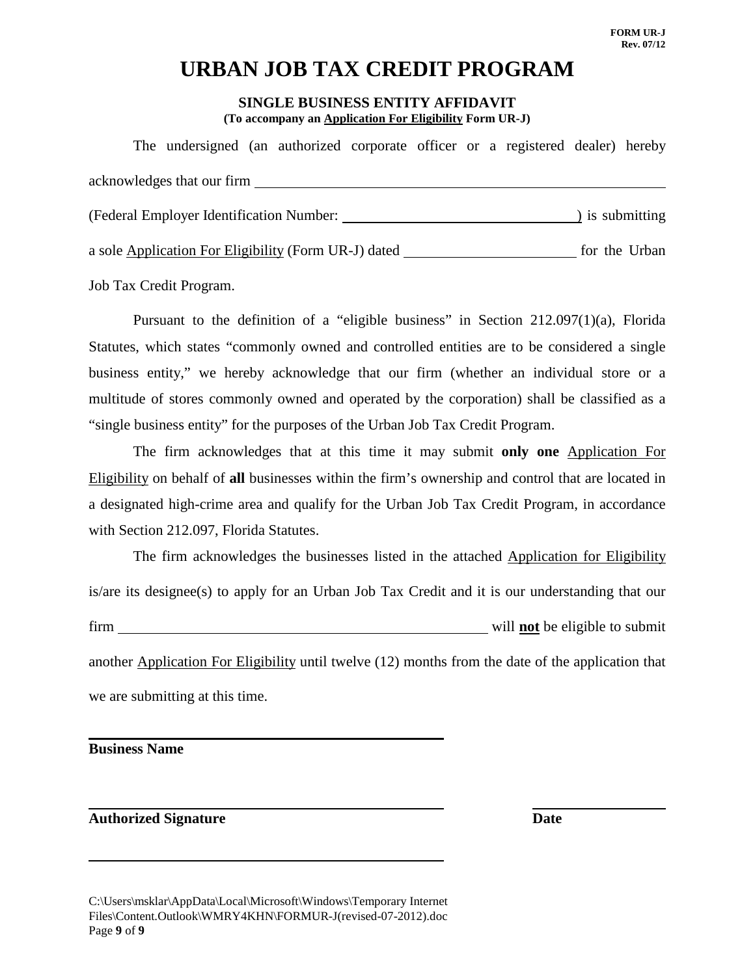# **URBAN JOB TAX CREDIT PROGRAM**

### **SINGLE BUSINESS ENTITY AFFIDAVIT (To accompany an Application For Eligibility Form UR-J)**

The undersigned (an authorized corporate officer or a registered dealer) hereby acknowledges that our firm (Federal Employer Identification Number: ) is submitting a sole Application For Eligibility (Form UR-J) dated for the Urban

Job Tax Credit Program.

Pursuant to the definition of a "eligible business" in Section 212.097(1)(a), Florida Statutes, which states "commonly owned and controlled entities are to be considered a single business entity," we hereby acknowledge that our firm (whether an individual store or a multitude of stores commonly owned and operated by the corporation) shall be classified as a "single business entity" for the purposes of the Urban Job Tax Credit Program.

The firm acknowledges that at this time it may submit **only one** Application For Eligibility on behalf of **all** businesses within the firm's ownership and control that are located in a designated high-crime area and qualify for the Urban Job Tax Credit Program, in accordance with Section 212.097, Florida Statutes.

The firm acknowledges the businesses listed in the attached Application for Eligibility is/are its designee(s) to apply for an Urban Job Tax Credit and it is our understanding that our firm will **not** be eligible to submit another Application For Eligibility until twelve (12) months from the date of the application that we are submitting at this time.

**Business Name**

## **Authorized Signature Date**